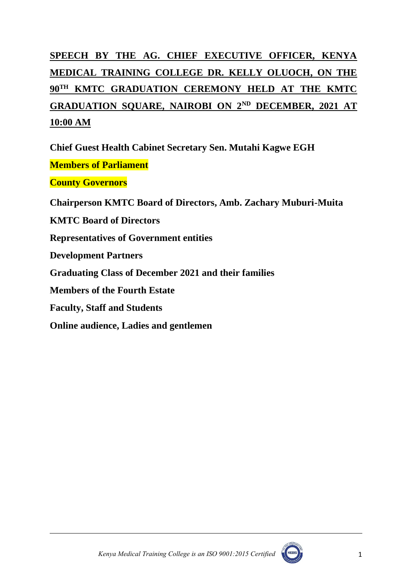# **SPEECH BY THE AG. CHIEF EXECUTIVE OFFICER, KENYA MEDICAL TRAINING COLLEGE DR. KELLY OLUOCH, ON THE 90TH KMTC GRADUATION CEREMONY HELD AT THE KMTC GRADUATION SQUARE, NAIROBI ON 2ND DECEMBER, 2021 AT 10:00 AM**

**Members of Parliament County Governors Chairperson KMTC Board of Directors, Amb. Zachary Muburi-Muita KMTC Board of Directors Representatives of Government entities Development Partners Graduating Class of December 2021 and their families Members of the Fourth Estate Faculty, Staff and Students Online audience, Ladies and gentlemen**

**Chief Guest Health Cabinet Secretary Sen. Mutahi Kagwe EGH**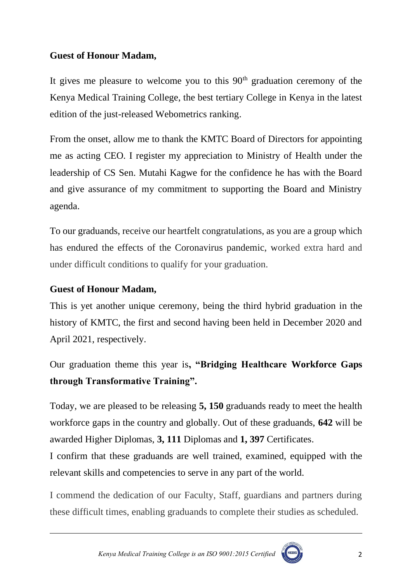## **Guest of Honour Madam,**

It gives me pleasure to welcome you to this  $90<sup>th</sup>$  graduation ceremony of the Kenya Medical Training College, the best tertiary College in Kenya in the latest edition of the just-released Webometrics ranking.

From the onset, allow me to thank the KMTC Board of Directors for appointing me as acting CEO. I register my appreciation to Ministry of Health under the leadership of CS Sen. Mutahi Kagwe for the confidence he has with the Board and give assurance of my commitment to supporting the Board and Ministry agenda.

To our graduands, receive our heartfelt congratulations, as you are a group which has endured the effects of the Coronavirus pandemic, worked extra hard and under difficult conditions to qualify for your graduation.

## **Guest of Honour Madam,**

This is yet another unique ceremony, being the third hybrid graduation in the history of KMTC, the first and second having been held in December 2020 and April 2021, respectively.

Our graduation theme this year is**, "Bridging Healthcare Workforce Gaps through Transformative Training".**

Today, we are pleased to be releasing **5, 150** graduands ready to meet the health workforce gaps in the country and globally. Out of these graduands, **642** will be awarded Higher Diplomas, **3, 111** Diplomas and **1, 397** Certificates.

I confirm that these graduands are well trained, examined, equipped with the relevant skills and competencies to serve in any part of the world.

I commend the dedication of our Faculty, Staff, guardians and partners during these difficult times, enabling graduands to complete their studies as scheduled.

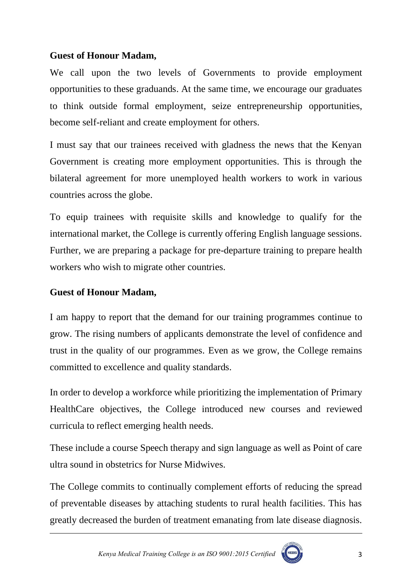## **Guest of Honour Madam,**

We call upon the two levels of Governments to provide employment opportunities to these graduands. At the same time, we encourage our graduates to think outside formal employment, seize entrepreneurship opportunities, become self-reliant and create employment for others.

I must say that our trainees received with gladness the news that the Kenyan Government is creating more employment opportunities. This is through the bilateral agreement for more unemployed health workers to work in various countries across the globe.

To equip trainees with requisite skills and knowledge to qualify for the international market, the College is currently offering English language sessions. Further, we are preparing a package for pre-departure training to prepare health workers who wish to migrate other countries.

## **Guest of Honour Madam,**

I am happy to report that the demand for our training programmes continue to grow. The rising numbers of applicants demonstrate the level of confidence and trust in the quality of our programmes. Even as we grow, the College remains committed to excellence and quality standards.

In order to develop a workforce while prioritizing the implementation of Primary HealthCare objectives, the College introduced new courses and reviewed curricula to reflect emerging health needs.

These include a course Speech therapy and sign language as well as Point of care ultra sound in obstetrics for Nurse Midwives.

The College commits to continually complement efforts of reducing the spread of preventable diseases by attaching students to rural health facilities. This has greatly decreased the burden of treatment emanating from late disease diagnosis.

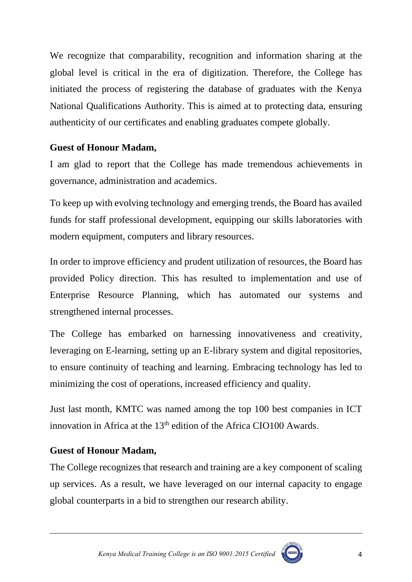We recognize that comparability, recognition and information sharing at the global level is critical in the era of digitization. Therefore, the College has initiated the process of registering the database of graduates with the Kenya National Qualifications Authority. This is aimed at to protecting data, ensuring authenticity of our certificates and enabling graduates compete globally.

## **Guest of Honour Madam,**

I am glad to report that the College has made tremendous achievements in governance, administration and academics.

To keep up with evolving technology and emerging trends, the Board has availed funds for staff professional development, equipping our skills laboratories with modern equipment, computers and library resources.

In order to improve efficiency and prudent utilization of resources, the Board has provided Policy direction. This has resulted to implementation and use of Enterprise Resource Planning, which has automated our systems and strengthened internal processes.

The College has embarked on harnessing innovativeness and creativity, leveraging on E-learning, setting up an E-library system and digital repositories, to ensure continuity of teaching and learning. Embracing technology has led to minimizing the cost of operations, increased efficiency and quality.

Just last month, KMTC was named among the top 100 best companies in ICT innovation in Africa at the  $13<sup>th</sup>$  edition of the Africa CIO100 Awards.

# **Guest of Honour Madam,**

The College recognizes that research and training are a key component of scaling up services. As a result, we have leveraged on our internal capacity to engage global counterparts in a bid to strengthen our research ability.

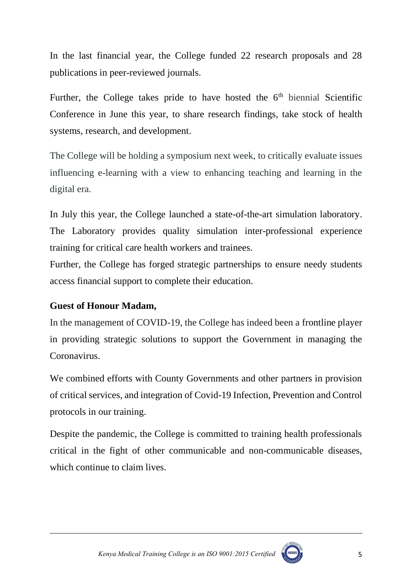In the last financial year, the College funded 22 research proposals and 28 publications in peer-reviewed journals.

Further, the College takes pride to have hosted the 6<sup>th</sup> biennial Scientific Conference in June this year, to share research findings, take stock of health systems, research, and development.

The College will be holding a symposium next week, to critically evaluate issues influencing e-learning with a view to enhancing teaching and learning in the digital era.

In July this year, the College launched a state-of-the-art simulation laboratory. The Laboratory provides quality simulation inter-professional experience training for critical care health workers and trainees.

Further, the College has forged strategic partnerships to ensure needy students access financial support to complete their education.

## **Guest of Honour Madam,**

In the management of COVID-19, the College has indeed been a frontline player in providing strategic solutions to support the Government in managing the Coronavirus.

We combined efforts with County Governments and other partners in provision of critical services, and integration of Covid-19 Infection, Prevention and Control protocols in our training.

Despite the pandemic, the College is committed to training health professionals critical in the fight of other communicable and non-communicable diseases, which continue to claim lives.



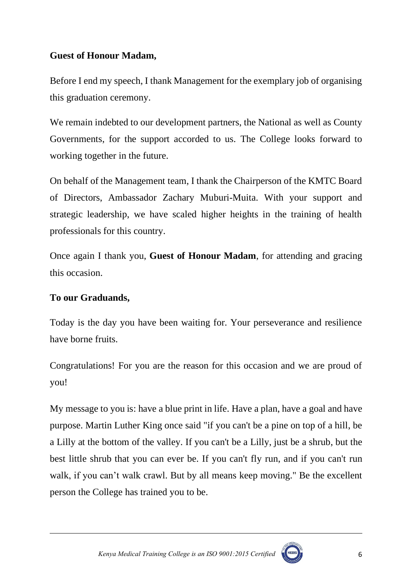## **Guest of Honour Madam,**

Before I end my speech, I thank Management for the exemplary job of organising this graduation ceremony.

We remain indebted to our development partners, the National as well as County Governments, for the support accorded to us. The College looks forward to working together in the future.

On behalf of the Management team, I thank the Chairperson of the KMTC Board of Directors, Ambassador Zachary Muburi-Muita. With your support and strategic leadership, we have scaled higher heights in the training of health professionals for this country.

Once again I thank you, **Guest of Honour Madam**, for attending and gracing this occasion.

## **To our Graduands,**

Today is the day you have been waiting for. Your perseverance and resilience have borne fruits.

Congratulations! For you are the reason for this occasion and we are proud of you!

My message to you is: have a blue print in life. Have a plan, have a goal and have purpose. Martin Luther King once said "if you can't be a pine on top of a hill, be a Lilly at the bottom of the valley. If you can't be a Lilly, just be a shrub, but the best little shrub that you can ever be. If you can't fly run, and if you can't run walk, if you can't walk crawl. But by all means keep moving." Be the excellent person the College has trained you to be.